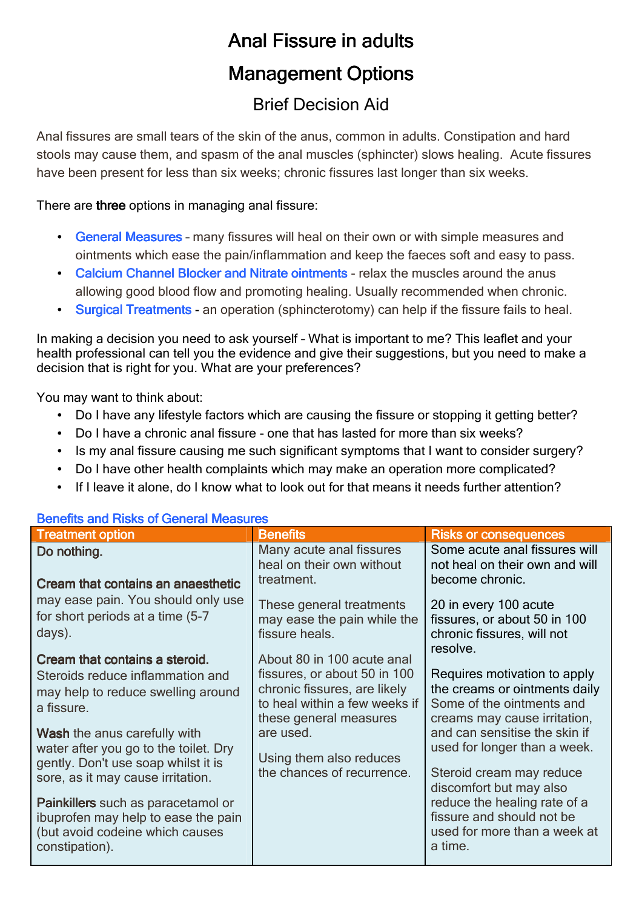## Anal Fissure in adults **Management Options**

## Brief Decision Aid

Anal fissures are small tears of the skin of the anus, common in adults. Constipation and hard stools may cause them, and spasm of the anal muscles (sphincter) slows healing. Acute fissures have been present for less than six weeks; chronic fissures last longer than six weeks.

There are three options in managing anal fissure:

- General Measures many fissures will heal on their own or with simple measures and ointments which ease the pain/inflammation and keep the faeces soft and easy to pass.
- Calcium Channel Blocker and Nitrate ointments relax the muscles around the anus allowing good blood flow and promoting healing. Usually recommended when chronic.
- Surgical Treatments an operation (sphincterotomy) can help if the fissure fails to heal.

In making a decision you need to ask yourself – What is important to me? This leaflet and your health professional can tell you the evidence and give their suggestions, but you need to make a decision that is right for you. What are your preferences?

You may want to think about:

- Do I have any lifestyle factors which are causing the fissure or stopping it getting better?
- Do I have a chronic anal fissure one that has lasted for more than six weeks?
- Is my anal fissure causing me such significant symptoms that I want to consider surgery?
- Do I have other health complaints which may make an operation more complicated?
- If I leave it alone, do I know what to look out for that means it needs further attention?

| <b>Treatment option</b>                                                                                                        | <b>Benefits</b>                                                                                                         | <b>Risks or consequences</b>                                                                                               |
|--------------------------------------------------------------------------------------------------------------------------------|-------------------------------------------------------------------------------------------------------------------------|----------------------------------------------------------------------------------------------------------------------------|
| Do nothing.                                                                                                                    | Many acute anal fissures<br>heal on their own without                                                                   | Some acute anal fissures will<br>not heal on their own and will                                                            |
| Cream that contains an anaesthetic<br>may ease pain. You should only use                                                       | treatment.                                                                                                              | become chronic.                                                                                                            |
| for short periods at a time (5-7<br>days).                                                                                     | These general treatments<br>may ease the pain while the<br>fissure heals.                                               | 20 in every 100 acute<br>fissures, or about 50 in 100<br>chronic fissures, will not<br>resolve.                            |
| Cream that contains a steroid.                                                                                                 | About 80 in 100 acute anal                                                                                              |                                                                                                                            |
| Steroids reduce inflammation and<br>may help to reduce swelling around<br>a fissure.                                           | fissures, or about 50 in 100<br>chronic fissures, are likely<br>to heal within a few weeks if<br>these general measures | Requires motivation to apply<br>the creams or ointments daily<br>Some of the ointments and<br>creams may cause irritation, |
| Wash the anus carefully with<br>water after you go to the toilet. Dry<br>gently. Don't use soap whilst it is                   | are used.<br>Using them also reduces                                                                                    | and can sensitise the skin if<br>used for longer than a week.                                                              |
| sore, as it may cause irritation.                                                                                              | the chances of recurrence.                                                                                              | Steroid cream may reduce<br>discomfort but may also                                                                        |
| Painkillers such as paracetamol or<br>ibuprofen may help to ease the pain<br>(but avoid codeine which causes<br>constipation). |                                                                                                                         | reduce the healing rate of a<br>fissure and should not be<br>used for more than a week at<br>a time.                       |

## Benefits and Risks of General Measures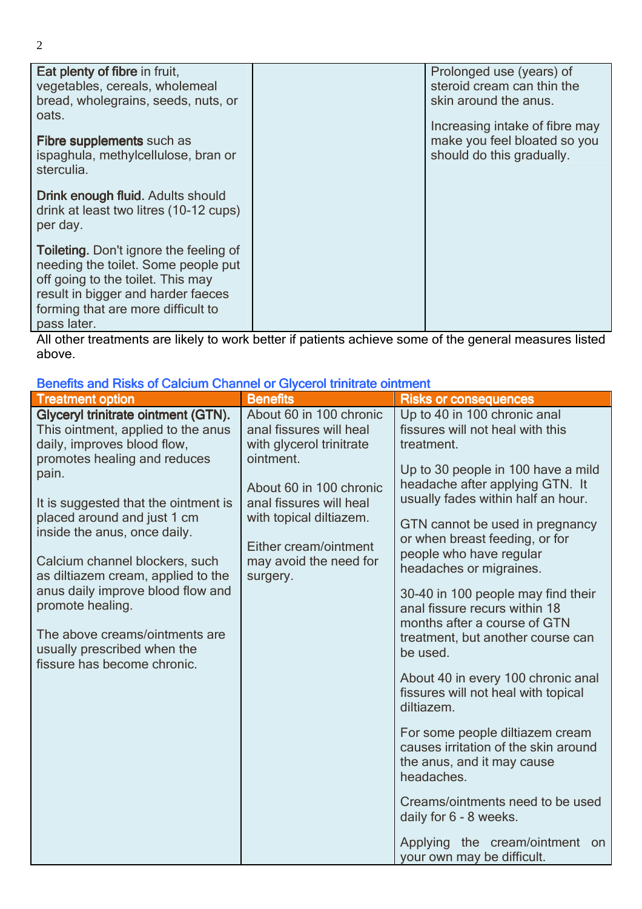| Eat plenty of fibre in fruit,<br>vegetables, cereals, wholemeal<br>bread, wholegrains, seeds, nuts, or<br>oats.                                                                                                      | Prolonged use (years) of<br>steroid cream can thin the<br>skin around the anus.             |
|----------------------------------------------------------------------------------------------------------------------------------------------------------------------------------------------------------------------|---------------------------------------------------------------------------------------------|
| Fibre supplements such as<br>ispaghula, methylcellulose, bran or<br>sterculia.                                                                                                                                       | Increasing intake of fibre may<br>make you feel bloated so you<br>should do this gradually. |
| Drink enough fluid. Adults should<br>drink at least two litres (10-12 cups)<br>per day.                                                                                                                              |                                                                                             |
| <b>Toileting.</b> Don't ignore the feeling of<br>needing the toilet. Some people put<br>off going to the toilet. This may<br>result in bigger and harder faeces<br>forming that are more difficult to<br>pass later. |                                                                                             |

All other treatments are likely to work better if patients achieve some of the general measures listed above.

| <u>Denomo ana i nono oi Oaiciani Onannoi oi Giyocroi annaalo oinanoin</u>                                                                                                                                                                                                                                                                                                                                                                                                                 |                                                                                                                                                                                                                                             |                                                                                                                                                                                                                                                                                                                                                                                                                                                                                                                                                                                                                                                                                                                                                                                                                                     |
|-------------------------------------------------------------------------------------------------------------------------------------------------------------------------------------------------------------------------------------------------------------------------------------------------------------------------------------------------------------------------------------------------------------------------------------------------------------------------------------------|---------------------------------------------------------------------------------------------------------------------------------------------------------------------------------------------------------------------------------------------|-------------------------------------------------------------------------------------------------------------------------------------------------------------------------------------------------------------------------------------------------------------------------------------------------------------------------------------------------------------------------------------------------------------------------------------------------------------------------------------------------------------------------------------------------------------------------------------------------------------------------------------------------------------------------------------------------------------------------------------------------------------------------------------------------------------------------------------|
| <b>Treatment option</b>                                                                                                                                                                                                                                                                                                                                                                                                                                                                   | <b>Benefits</b>                                                                                                                                                                                                                             | <b>Risks or consequences</b>                                                                                                                                                                                                                                                                                                                                                                                                                                                                                                                                                                                                                                                                                                                                                                                                        |
| Glyceryl trinitrate ointment (GTN).<br>This ointment, applied to the anus<br>daily, improves blood flow,<br>promotes healing and reduces<br>pain.<br>It is suggested that the ointment is<br>placed around and just 1 cm<br>inside the anus, once daily.<br>Calcium channel blockers, such<br>as diltiazem cream, applied to the<br>anus daily improve blood flow and<br>promote healing.<br>The above creams/ointments are<br>usually prescribed when the<br>fissure has become chronic. | About 60 in 100 chronic<br>anal fissures will heal<br>with glycerol trinitrate<br>ointment.<br>About 60 in 100 chronic<br>anal fissures will heal<br>with topical diltiazem.<br>Either cream/ointment<br>may avoid the need for<br>surgery. | Up to 40 in 100 chronic anal<br>fissures will not heal with this<br>treatment.<br>Up to 30 people in 100 have a mild<br>headache after applying GTN. It<br>usually fades within half an hour.<br>GTN cannot be used in pregnancy<br>or when breast feeding, or for<br>people who have regular<br>headaches or migraines.<br>30-40 in 100 people may find their<br>anal fissure recurs within 18<br>months after a course of GTN<br>treatment, but another course can<br>be used.<br>About 40 in every 100 chronic anal<br>fissures will not heal with topical<br>diltiazem.<br>For some people diltiazem cream<br>causes irritation of the skin around<br>the anus, and it may cause<br>headaches.<br>Creams/ointments need to be used<br>daily for 6 - 8 weeks.<br>Applying the cream/ointment<br>on<br>your own may be difficult. |

Benefits and Risks of Calcium Channel or Glycerol trinitrate ointment

2